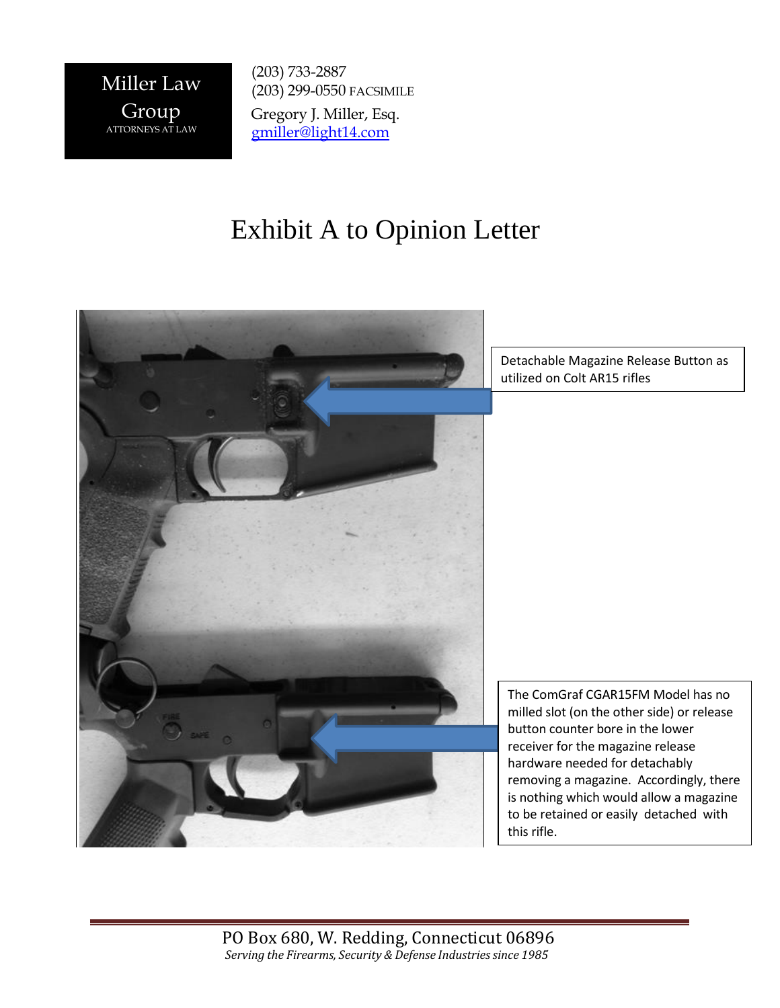

(203) 733-2887 (203) 299-0550 FACSIMILE Gregory J. Miller, Esq. [gmiller@light14.com](mailto:gmiller@light14.com)

## Exhibit A to Opinion Letter



Detachable Magazine Release Button as utilized on Colt AR15 rifles

The ComGraf CGAR15FM Model has no milled slot (on the other side) or release button counter bore in the lower receiver for the magazine release hardware needed for detachably removing a magazine. Accordingly, there is nothing which would allow a magazine to be retained or easily detached with this rifle.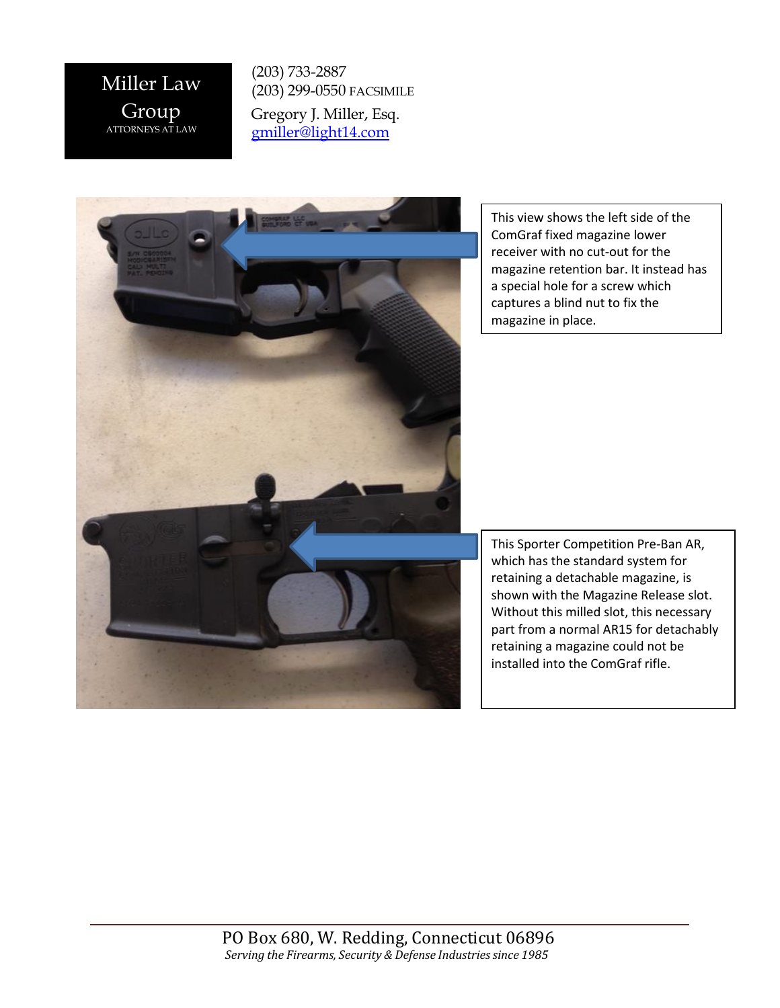Miller Law Group ATTORNEYS AT LAW

(203) 733-2887 (203) 299-0550 FACSIMILE

Gregory J. Miller, Esq. [gmiller@light14.com](mailto:gmiller@light14.com)

This view shows the left side of the ComGraf fixed magazine lower receiver with no cut-out for the magazine retention bar. It instead has a special hole for a screw which captures a blind nut to fix the magazine in place.

This Sporter Competition Pre-Ban AR, which has the standard system for retaining a detachable magazine, is shown with the Magazine Release slot. Without this milled slot, this necessary part from a normal AR15 for detachably retaining a magazine could not be installed into the ComGraf rifle.